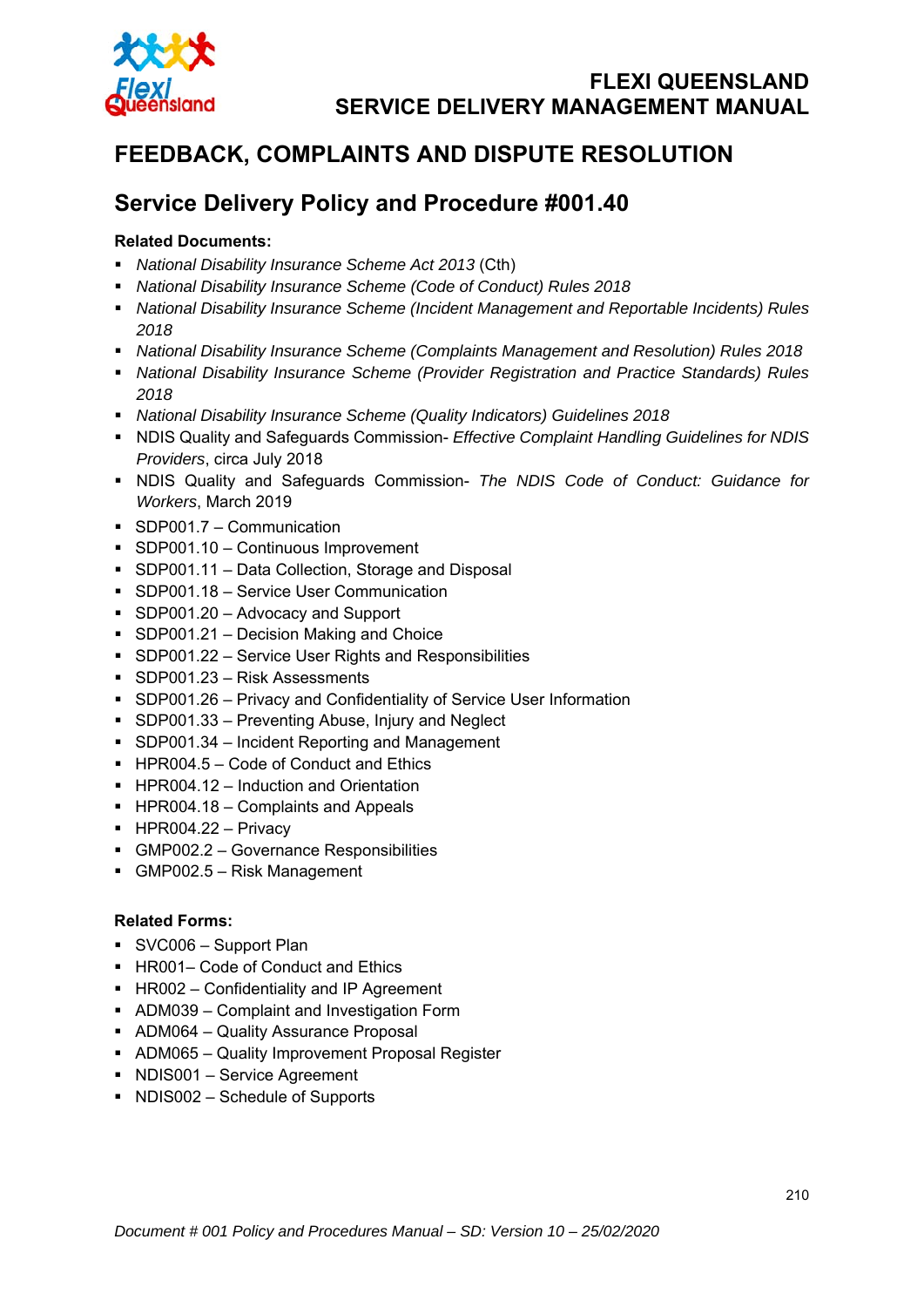

# **FEEDBACK, COMPLAINTS AND DISPUTE RESOLUTION**

# **Service Delivery Policy and Procedure #001.40**

### **Related Documents:**

- *National Disability Insurance Scheme Act 2013* (Cth)
- *National Disability Insurance Scheme (Code of Conduct) Rules 2018*
- *National Disability Insurance Scheme (Incident Management and Reportable Incidents) Rules 2018*
- *National Disability Insurance Scheme (Complaints Management and Resolution) Rules 2018*
- *National Disability Insurance Scheme (Provider Registration and Practice Standards) Rules 2018*
- *National Disability Insurance Scheme (Quality Indicators) Guidelines 2018*
- NDIS Quality and Safeguards Commission- *Effective Complaint Handling Guidelines for NDIS Providers*, circa July 2018
- NDIS Quality and Safeguards Commission- *The NDIS Code of Conduct: Guidance for Workers*, March 2019
- SDP001.7 Communication
- SDP001.10 Continuous Improvement
- SDP001.11 Data Collection, Storage and Disposal
- **SDP001.18 Service User Communication**
- SDP001.20 Advocacy and Support
- **SDP001.21 Decision Making and Choice**
- SDP001.22 Service User Rights and Responsibilities
- SDP001.23 Risk Assessments
- SDP001.26 Privacy and Confidentiality of Service User Information
- **SDP001.33 Preventing Abuse, Injury and Neglect**
- **SDP001.34 Incident Reporting and Management**
- HPR004.5 Code of Conduct and Ethics
- HPR004.12 Induction and Orientation
- $\blacksquare$  HPR004.18 Complaints and Appeals
- $\blacksquare$  HPR004.22 Privacy
- GMP002.2 Governance Responsibilities
- GMP002.5 Risk Management

#### **Related Forms:**

- SVC006 Support Plan
- HR001– Code of Conduct and Ethics
- **HR002 Confidentiality and IP Agreement**
- ADM039 Complaint and Investigation Form
- ADM064 Quality Assurance Proposal
- ADM065 Quality Improvement Proposal Register
- NDIS001 Service Agreement
- NDIS002 Schedule of Supports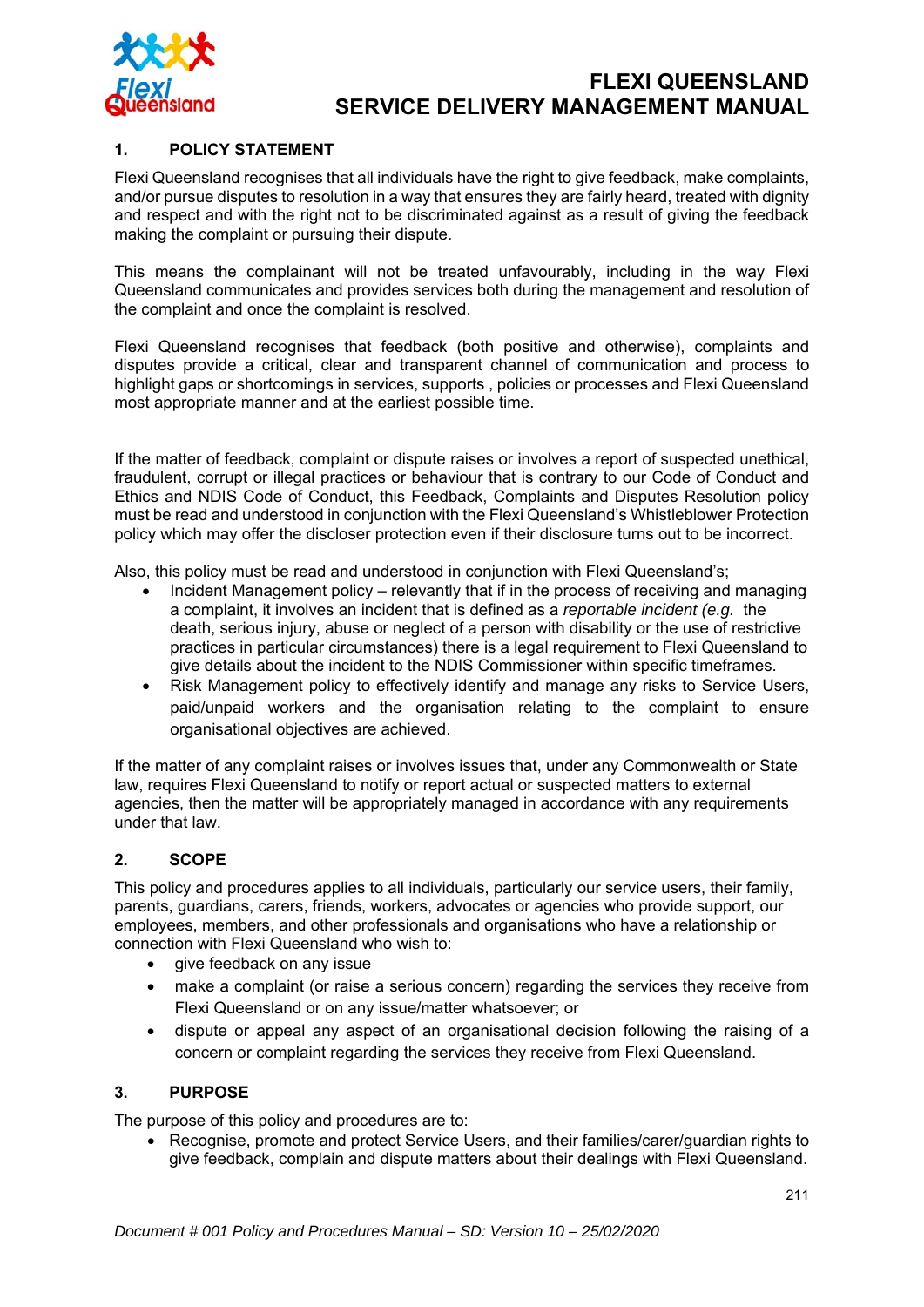

#### **1. POLICY STATEMENT**

Flexi Queensland recognises that all individuals have the right to give feedback, make complaints, and/or pursue disputes to resolution in a way that ensures they are fairly heard, treated with dignity and respect and with the right not to be discriminated against as a result of giving the feedback making the complaint or pursuing their dispute.

This means the complainant will not be treated unfavourably, including in the way Flexi Queensland communicates and provides services both during the management and resolution of the complaint and once the complaint is resolved.

Flexi Queensland recognises that feedback (both positive and otherwise), complaints and disputes provide a critical, clear and transparent channel of communication and process to highlight gaps or shortcomings in services, supports , policies or processes and Flexi Queensland most appropriate manner and at the earliest possible time.

If the matter of feedback, complaint or dispute raises or involves a report of suspected unethical, fraudulent, corrupt or illegal practices or behaviour that is contrary to our Code of Conduct and Ethics and NDIS Code of Conduct, this Feedback, Complaints and Disputes Resolution policy must be read and understood in conjunction with the Flexi Queensland's Whistleblower Protection policy which may offer the discloser protection even if their disclosure turns out to be incorrect.

Also, this policy must be read and understood in conjunction with Flexi Queensland's;

- Incident Management policy relevantly that if in the process of receiving and managing a complaint, it involves an incident that is defined as a *reportable incident (e.g.* the death, serious injury, abuse or neglect of a person with disability or the use of restrictive practices in particular circumstances) there is a legal requirement to Flexi Queensland to give details about the incident to the NDIS Commissioner within specific timeframes.
- Risk Management policy to effectively identify and manage any risks to Service Users, paid/unpaid workers and the organisation relating to the complaint to ensure organisational objectives are achieved.

If the matter of any complaint raises or involves issues that, under any Commonwealth or State law, requires Flexi Queensland to notify or report actual or suspected matters to external agencies, then the matter will be appropriately managed in accordance with any requirements under that law.

#### **2. SCOPE**

This policy and procedures applies to all individuals, particularly our service users, their family, parents, guardians, carers, friends, workers, advocates or agencies who provide support, our employees, members, and other professionals and organisations who have a relationship or connection with Flexi Queensland who wish to:

- give feedback on any issue
- make a complaint (or raise a serious concern) regarding the services they receive from Flexi Queensland or on any issue/matter whatsoever; or
- dispute or appeal any aspect of an organisational decision following the raising of a concern or complaint regarding the services they receive from Flexi Queensland.

#### **3. PURPOSE**

The purpose of this policy and procedures are to:

• Recognise, promote and protect Service Users, and their families/carer/guardian rights to give feedback, complain and dispute matters about their dealings with Flexi Queensland.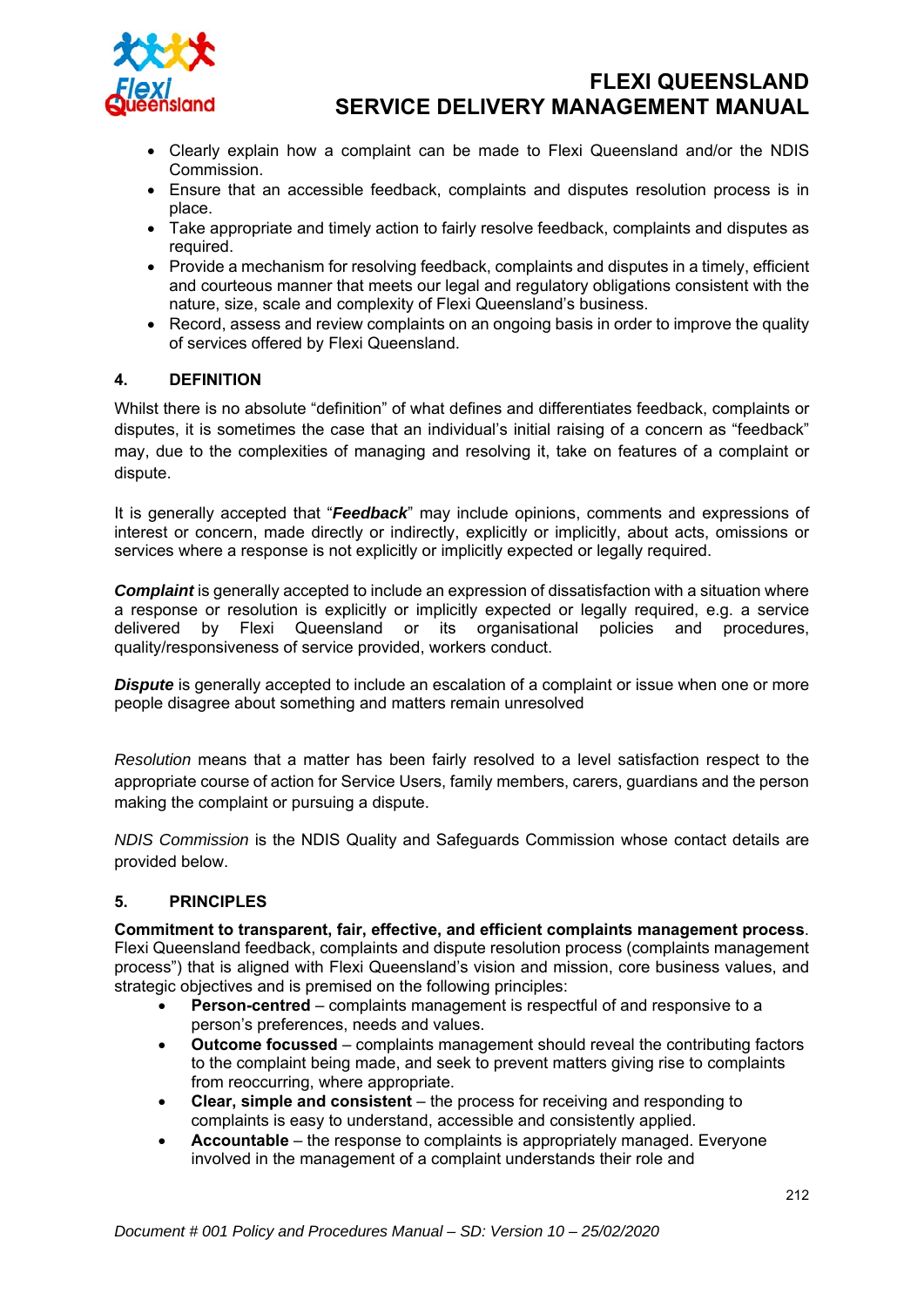

- Clearly explain how a complaint can be made to Flexi Queensland and/or the NDIS Commission.
- Ensure that an accessible feedback, complaints and disputes resolution process is in place.
- Take appropriate and timely action to fairly resolve feedback, complaints and disputes as required.
- Provide a mechanism for resolving feedback, complaints and disputes in a timely, efficient and courteous manner that meets our legal and regulatory obligations consistent with the nature, size, scale and complexity of Flexi Queensland's business.
- Record, assess and review complaints on an ongoing basis in order to improve the quality of services offered by Flexi Queensland.

#### **4. DEFINITION**

Whilst there is no absolute "definition" of what defines and differentiates feedback, complaints or disputes, it is sometimes the case that an individual's initial raising of a concern as "feedback" may, due to the complexities of managing and resolving it, take on features of a complaint or dispute.

It is generally accepted that "*Feedback*" may include opinions, comments and expressions of interest or concern, made directly or indirectly, explicitly or implicitly, about acts, omissions or services where a response is not explicitly or implicitly expected or legally required.

*Complaint* is generally accepted to include an expression of dissatisfaction with a situation where a response or resolution is explicitly or implicitly expected or legally required, e.g. a service delivered by Flexi Queensland or its organisational policies and procedures, quality/responsiveness of service provided, workers conduct.

**Dispute** is generally accepted to include an escalation of a complaint or issue when one or more people disagree about something and matters remain unresolved

*Resolution* means that a matter has been fairly resolved to a level satisfaction respect to the appropriate course of action for Service Users, family members, carers, guardians and the person making the complaint or pursuing a dispute.

*NDIS Commission* is the NDIS Quality and Safeguards Commission whose contact details are provided below.

#### **5. PRINCIPLES**

**Commitment to transparent, fair, effective, and efficient complaints management process**. Flexi Queensland feedback, complaints and dispute resolution process (complaints management process") that is aligned with Flexi Queensland's vision and mission, core business values, and strategic objectives and is premised on the following principles:

- **Person-centred**  complaints management is respectful of and responsive to a person's preferences, needs and values.
- **Outcome focussed**  complaints management should reveal the contributing factors to the complaint being made, and seek to prevent matters giving rise to complaints from reoccurring, where appropriate.
- **Clear, simple and consistent**  the process for receiving and responding to complaints is easy to understand, accessible and consistently applied.
- **Accountable**  the response to complaints is appropriately managed. Everyone involved in the management of a complaint understands their role and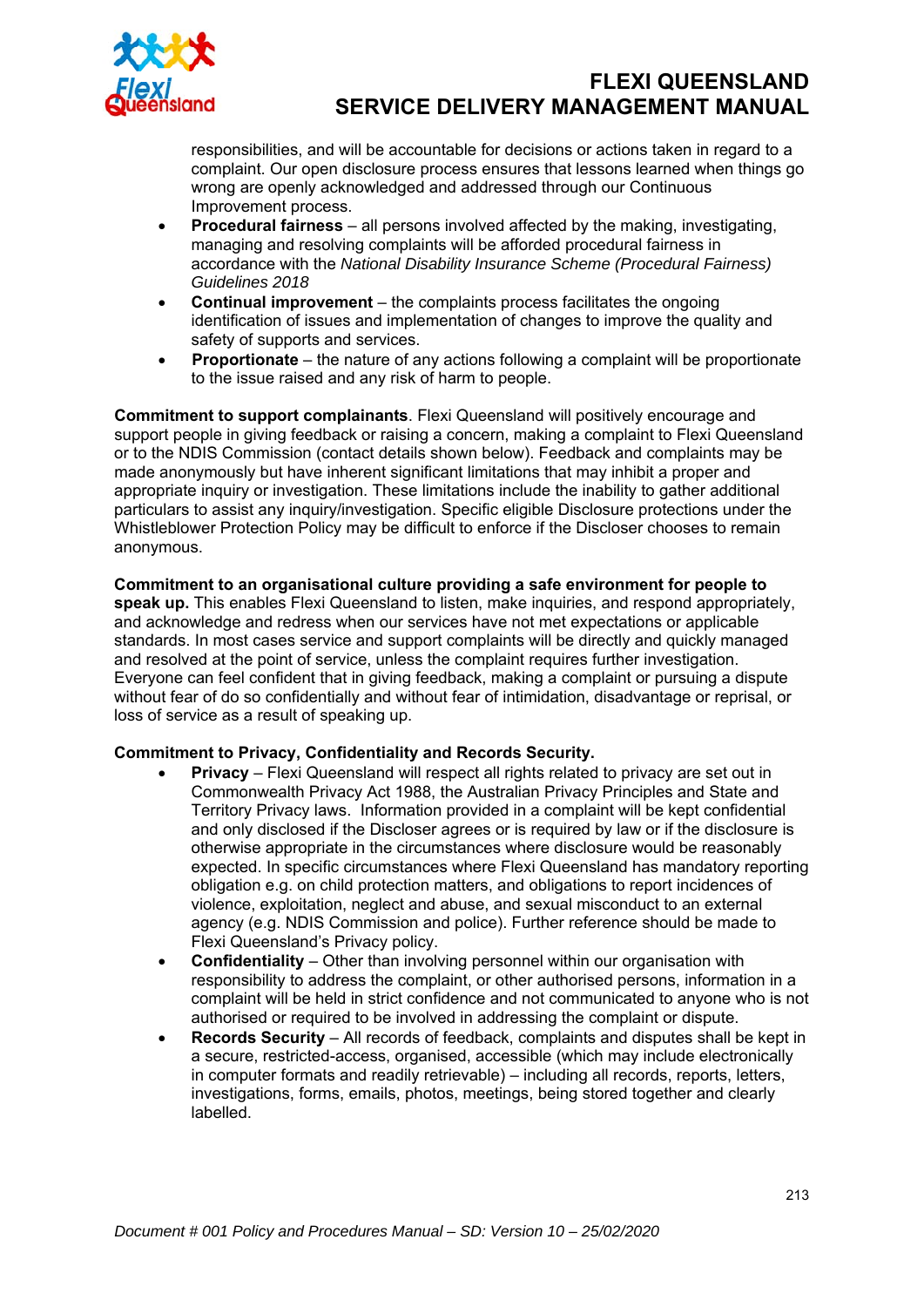

responsibilities, and will be accountable for decisions or actions taken in regard to a complaint. Our open disclosure process ensures that lessons learned when things go wrong are openly acknowledged and addressed through our Continuous Improvement process.

- **Procedural fairness**  all persons involved affected by the making, investigating, managing and resolving complaints will be afforded procedural fairness in accordance with the *National Disability Insurance Scheme (Procedural Fairness) Guidelines 2018*
- **Continual improvement**  the complaints process facilitates the ongoing identification of issues and implementation of changes to improve the quality and safety of supports and services.
- **Proportionate**  the nature of any actions following a complaint will be proportionate to the issue raised and any risk of harm to people.

**Commitment to support complainants**. Flexi Queensland will positively encourage and support people in giving feedback or raising a concern, making a complaint to Flexi Queensland or to the NDIS Commission (contact details shown below). Feedback and complaints may be made anonymously but have inherent significant limitations that may inhibit a proper and appropriate inquiry or investigation. These limitations include the inability to gather additional particulars to assist any inquiry/investigation. Specific eligible Disclosure protections under the Whistleblower Protection Policy may be difficult to enforce if the Discloser chooses to remain anonymous.

**Commitment to an organisational culture providing a safe environment for people to speak up.** This enables Flexi Queensland to listen, make inquiries, and respond appropriately, and acknowledge and redress when our services have not met expectations or applicable standards. In most cases service and support complaints will be directly and quickly managed and resolved at the point of service, unless the complaint requires further investigation. Everyone can feel confident that in giving feedback, making a complaint or pursuing a dispute without fear of do so confidentially and without fear of intimidation, disadvantage or reprisal, or loss of service as a result of speaking up.

#### **Commitment to Privacy, Confidentiality and Records Security.**

- **Privacy**  Flexi Queensland will respect all rights related to privacy are set out in Commonwealth Privacy Act 1988, the Australian Privacy Principles and State and Territory Privacy laws. Information provided in a complaint will be kept confidential and only disclosed if the Discloser agrees or is required by law or if the disclosure is otherwise appropriate in the circumstances where disclosure would be reasonably expected. In specific circumstances where Flexi Queensland has mandatory reporting obligation e.g. on child protection matters, and obligations to report incidences of violence, exploitation, neglect and abuse, and sexual misconduct to an external agency (e.g. NDIS Commission and police). Further reference should be made to Flexi Queensland's Privacy policy.
- **Confidentiality**  Other than involving personnel within our organisation with responsibility to address the complaint, or other authorised persons, information in a complaint will be held in strict confidence and not communicated to anyone who is not authorised or required to be involved in addressing the complaint or dispute.
- **Records Security**  All records of feedback, complaints and disputes shall be kept in a secure, restricted-access, organised, accessible (which may include electronically in computer formats and readily retrievable) – including all records, reports, letters, investigations, forms, emails, photos, meetings, being stored together and clearly labelled.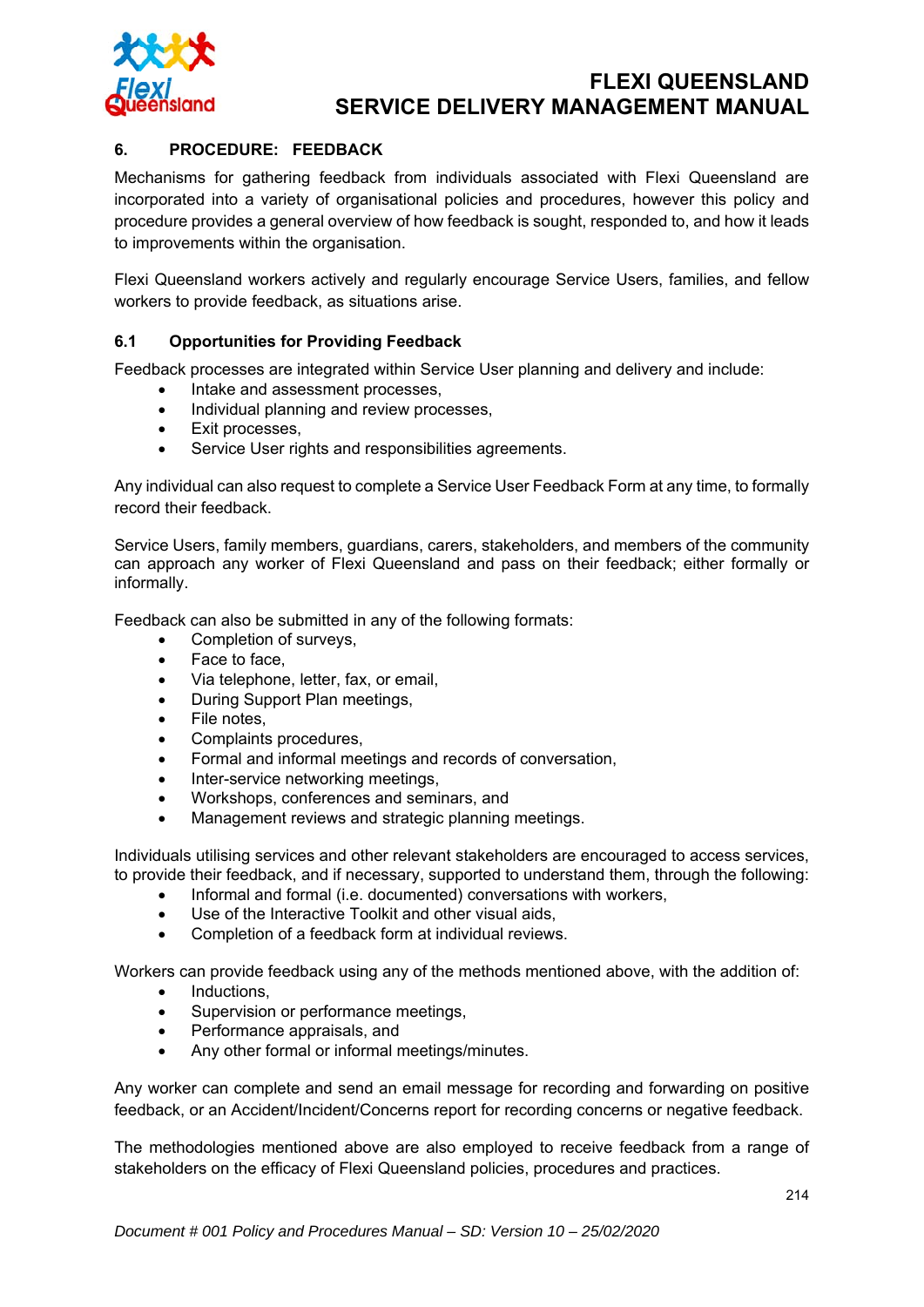

### **6. PROCEDURE: FEEDBACK**

Mechanisms for gathering feedback from individuals associated with Flexi Queensland are incorporated into a variety of organisational policies and procedures, however this policy and procedure provides a general overview of how feedback is sought, responded to, and how it leads to improvements within the organisation.

Flexi Queensland workers actively and regularly encourage Service Users, families, and fellow workers to provide feedback, as situations arise.

#### **6.1 Opportunities for Providing Feedback**

Feedback processes are integrated within Service User planning and delivery and include:

- Intake and assessment processes.
- Individual planning and review processes,
- Exit processes,
- Service User rights and responsibilities agreements.

Any individual can also request to complete a Service User Feedback Form at any time, to formally record their feedback.

Service Users, family members, guardians, carers, stakeholders, and members of the community can approach any worker of Flexi Queensland and pass on their feedback; either formally or informally.

Feedback can also be submitted in any of the following formats:

- Completion of surveys,
- Face to face,
- Via telephone, letter, fax, or email,
- During Support Plan meetings,
- File notes.
- Complaints procedures,
- Formal and informal meetings and records of conversation,
- Inter-service networking meetings,
- Workshops, conferences and seminars, and
- Management reviews and strategic planning meetings.

Individuals utilising services and other relevant stakeholders are encouraged to access services, to provide their feedback, and if necessary, supported to understand them, through the following:

- Informal and formal (i.e. documented) conversations with workers,
- Use of the Interactive Toolkit and other visual aids,
- Completion of a feedback form at individual reviews.

Workers can provide feedback using any of the methods mentioned above, with the addition of:

- Inductions,
- Supervision or performance meetings,
- Performance appraisals, and
- Any other formal or informal meetings/minutes.

Any worker can complete and send an email message for recording and forwarding on positive feedback, or an Accident/Incident/Concerns report for recording concerns or negative feedback.

The methodologies mentioned above are also employed to receive feedback from a range of stakeholders on the efficacy of Flexi Queensland policies, procedures and practices.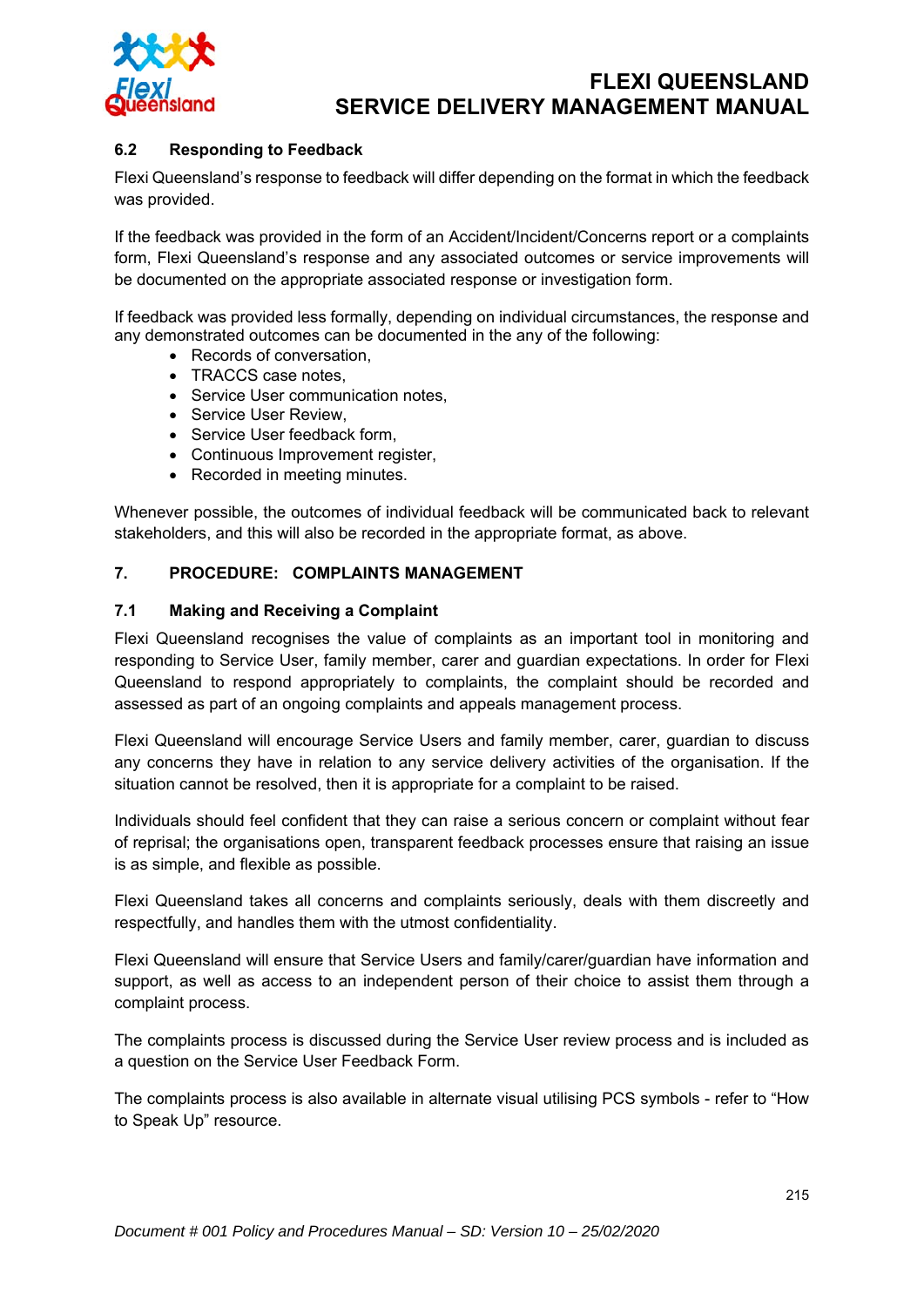

### **6.2 Responding to Feedback**

Flexi Queensland's response to feedback will differ depending on the format in which the feedback was provided.

If the feedback was provided in the form of an Accident/Incident/Concerns report or a complaints form, Flexi Queensland's response and any associated outcomes or service improvements will be documented on the appropriate associated response or investigation form.

If feedback was provided less formally, depending on individual circumstances, the response and any demonstrated outcomes can be documented in the any of the following:

- Records of conversation,
- TRACCS case notes.
- Service User communication notes,
- Service User Review.
- Service User feedback form,
- Continuous Improvement register,
- Recorded in meeting minutes.

Whenever possible, the outcomes of individual feedback will be communicated back to relevant stakeholders, and this will also be recorded in the appropriate format, as above.

### **7. PROCEDURE: COMPLAINTS MANAGEMENT**

#### **7.1 Making and Receiving a Complaint**

Flexi Queensland recognises the value of complaints as an important tool in monitoring and responding to Service User, family member, carer and guardian expectations. In order for Flexi Queensland to respond appropriately to complaints, the complaint should be recorded and assessed as part of an ongoing complaints and appeals management process.

Flexi Queensland will encourage Service Users and family member, carer, guardian to discuss any concerns they have in relation to any service delivery activities of the organisation. If the situation cannot be resolved, then it is appropriate for a complaint to be raised.

Individuals should feel confident that they can raise a serious concern or complaint without fear of reprisal; the organisations open, transparent feedback processes ensure that raising an issue is as simple, and flexible as possible.

Flexi Queensland takes all concerns and complaints seriously, deals with them discreetly and respectfully, and handles them with the utmost confidentiality.

Flexi Queensland will ensure that Service Users and family/carer/guardian have information and support, as well as access to an independent person of their choice to assist them through a complaint process.

The complaints process is discussed during the Service User review process and is included as a question on the Service User Feedback Form.

The complaints process is also available in alternate visual utilising PCS symbols - refer to "How to Speak Up" resource.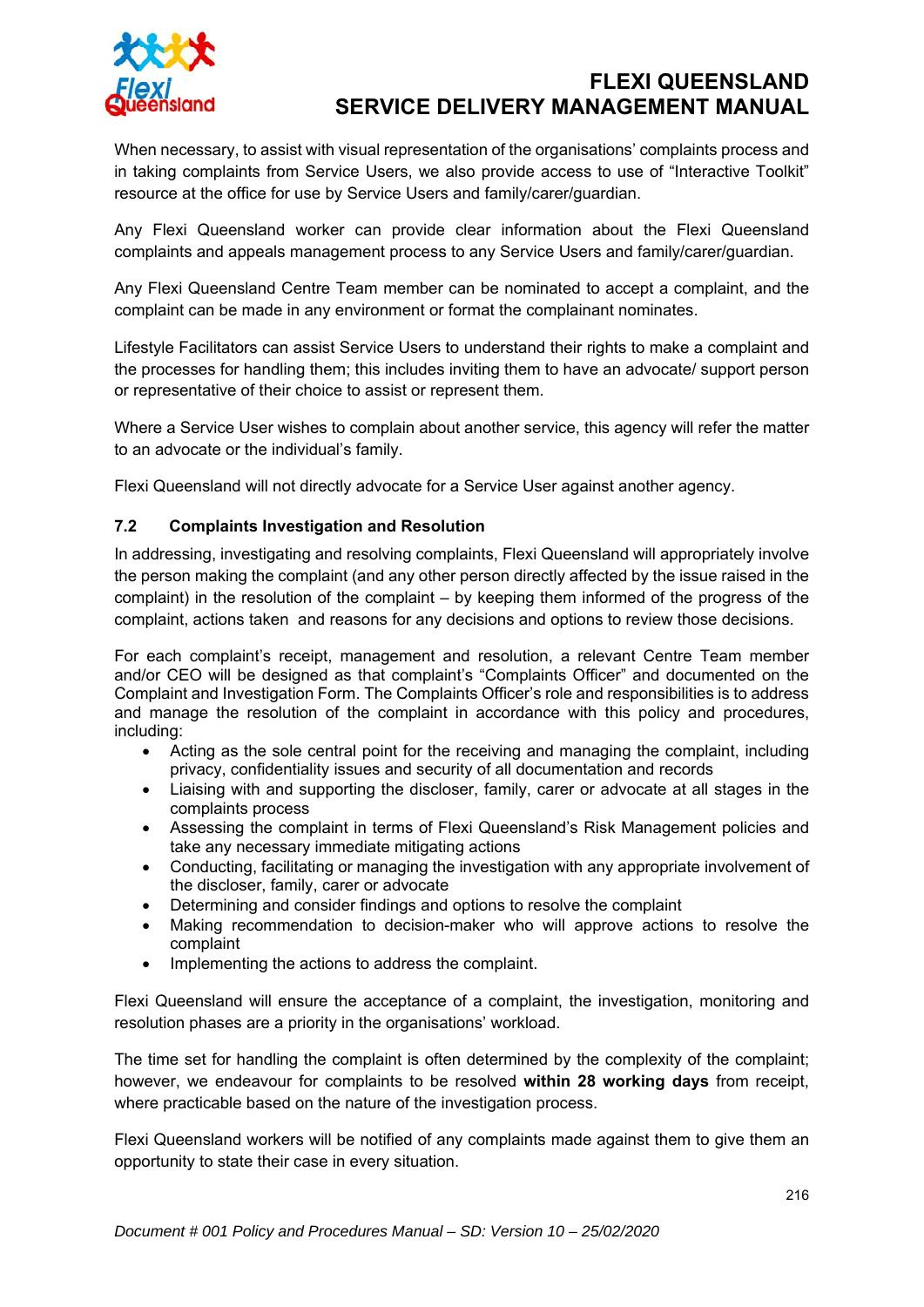

When necessary, to assist with visual representation of the organisations' complaints process and in taking complaints from Service Users, we also provide access to use of "Interactive Toolkit" resource at the office for use by Service Users and family/carer/guardian.

Any Flexi Queensland worker can provide clear information about the Flexi Queensland complaints and appeals management process to any Service Users and family/carer/guardian.

Any Flexi Queensland Centre Team member can be nominated to accept a complaint, and the complaint can be made in any environment or format the complainant nominates.

Lifestyle Facilitators can assist Service Users to understand their rights to make a complaint and the processes for handling them; this includes inviting them to have an advocate/ support person or representative of their choice to assist or represent them.

Where a Service User wishes to complain about another service, this agency will refer the matter to an advocate or the individual's family.

Flexi Queensland will not directly advocate for a Service User against another agency.

#### **7.2 Complaints Investigation and Resolution**

In addressing, investigating and resolving complaints, Flexi Queensland will appropriately involve the person making the complaint (and any other person directly affected by the issue raised in the complaint) in the resolution of the complaint – by keeping them informed of the progress of the complaint, actions taken and reasons for any decisions and options to review those decisions.

For each complaint's receipt, management and resolution, a relevant Centre Team member and/or CEO will be designed as that complaint's "Complaints Officer" and documented on the Complaint and Investigation Form. The Complaints Officer's role and responsibilities is to address and manage the resolution of the complaint in accordance with this policy and procedures, including:

- Acting as the sole central point for the receiving and managing the complaint, including privacy, confidentiality issues and security of all documentation and records
- Liaising with and supporting the discloser, family, carer or advocate at all stages in the complaints process
- Assessing the complaint in terms of Flexi Queensland's Risk Management policies and take any necessary immediate mitigating actions
- Conducting, facilitating or managing the investigation with any appropriate involvement of the discloser, family, carer or advocate
- Determining and consider findings and options to resolve the complaint
- Making recommendation to decision-maker who will approve actions to resolve the complaint
- Implementing the actions to address the complaint.

Flexi Queensland will ensure the acceptance of a complaint, the investigation, monitoring and resolution phases are a priority in the organisations' workload.

The time set for handling the complaint is often determined by the complexity of the complaint; however, we endeavour for complaints to be resolved **within 28 working days** from receipt, where practicable based on the nature of the investigation process.

Flexi Queensland workers will be notified of any complaints made against them to give them an opportunity to state their case in every situation.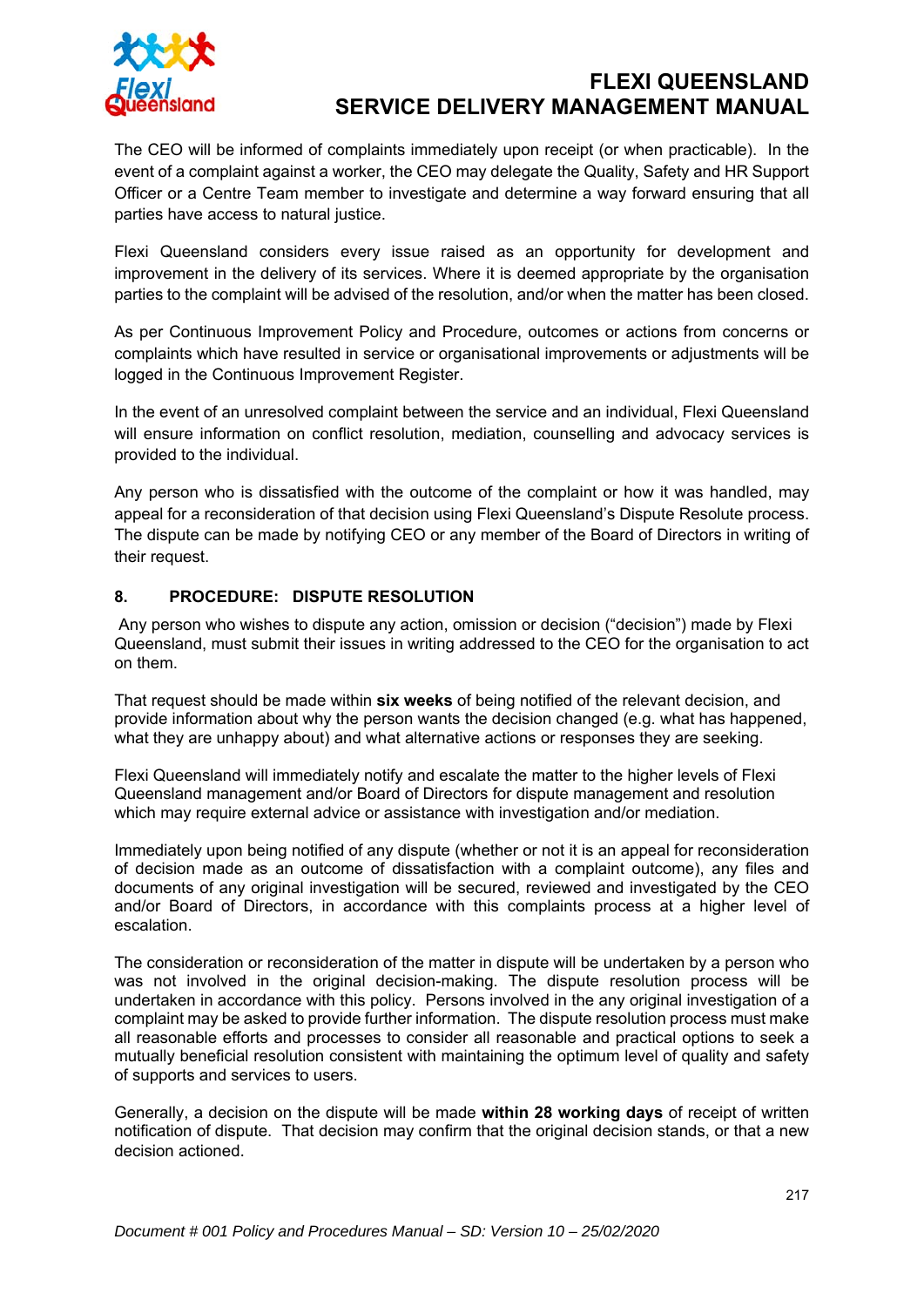

The CEO will be informed of complaints immediately upon receipt (or when practicable). In the event of a complaint against a worker, the CEO may delegate the Quality, Safety and HR Support Officer or a Centre Team member to investigate and determine a way forward ensuring that all parties have access to natural justice.

Flexi Queensland considers every issue raised as an opportunity for development and improvement in the delivery of its services. Where it is deemed appropriate by the organisation parties to the complaint will be advised of the resolution, and/or when the matter has been closed.

As per Continuous Improvement Policy and Procedure, outcomes or actions from concerns or complaints which have resulted in service or organisational improvements or adjustments will be logged in the Continuous Improvement Register.

In the event of an unresolved complaint between the service and an individual, Flexi Queensland will ensure information on conflict resolution, mediation, counselling and advocacy services is provided to the individual.

Any person who is dissatisfied with the outcome of the complaint or how it was handled, may appeal for a reconsideration of that decision using Flexi Queensland's Dispute Resolute process. The dispute can be made by notifying CEO or any member of the Board of Directors in writing of their request.

### **8. PROCEDURE: DISPUTE RESOLUTION**

Any person who wishes to dispute any action, omission or decision ("decision") made by Flexi Queensland, must submit their issues in writing addressed to the CEO for the organisation to act on them.

That request should be made within **six weeks** of being notified of the relevant decision, and provide information about why the person wants the decision changed (e.g. what has happened, what they are unhappy about) and what alternative actions or responses they are seeking.

Flexi Queensland will immediately notify and escalate the matter to the higher levels of Flexi Queensland management and/or Board of Directors for dispute management and resolution which may require external advice or assistance with investigation and/or mediation.

Immediately upon being notified of any dispute (whether or not it is an appeal for reconsideration of decision made as an outcome of dissatisfaction with a complaint outcome), any files and documents of any original investigation will be secured, reviewed and investigated by the CEO and/or Board of Directors, in accordance with this complaints process at a higher level of escalation.

The consideration or reconsideration of the matter in dispute will be undertaken by a person who was not involved in the original decision-making. The dispute resolution process will be undertaken in accordance with this policy. Persons involved in the any original investigation of a complaint may be asked to provide further information. The dispute resolution process must make all reasonable efforts and processes to consider all reasonable and practical options to seek a mutually beneficial resolution consistent with maintaining the optimum level of quality and safety of supports and services to users.

Generally, a decision on the dispute will be made **within 28 working days** of receipt of written notification of dispute. That decision may confirm that the original decision stands, or that a new decision actioned.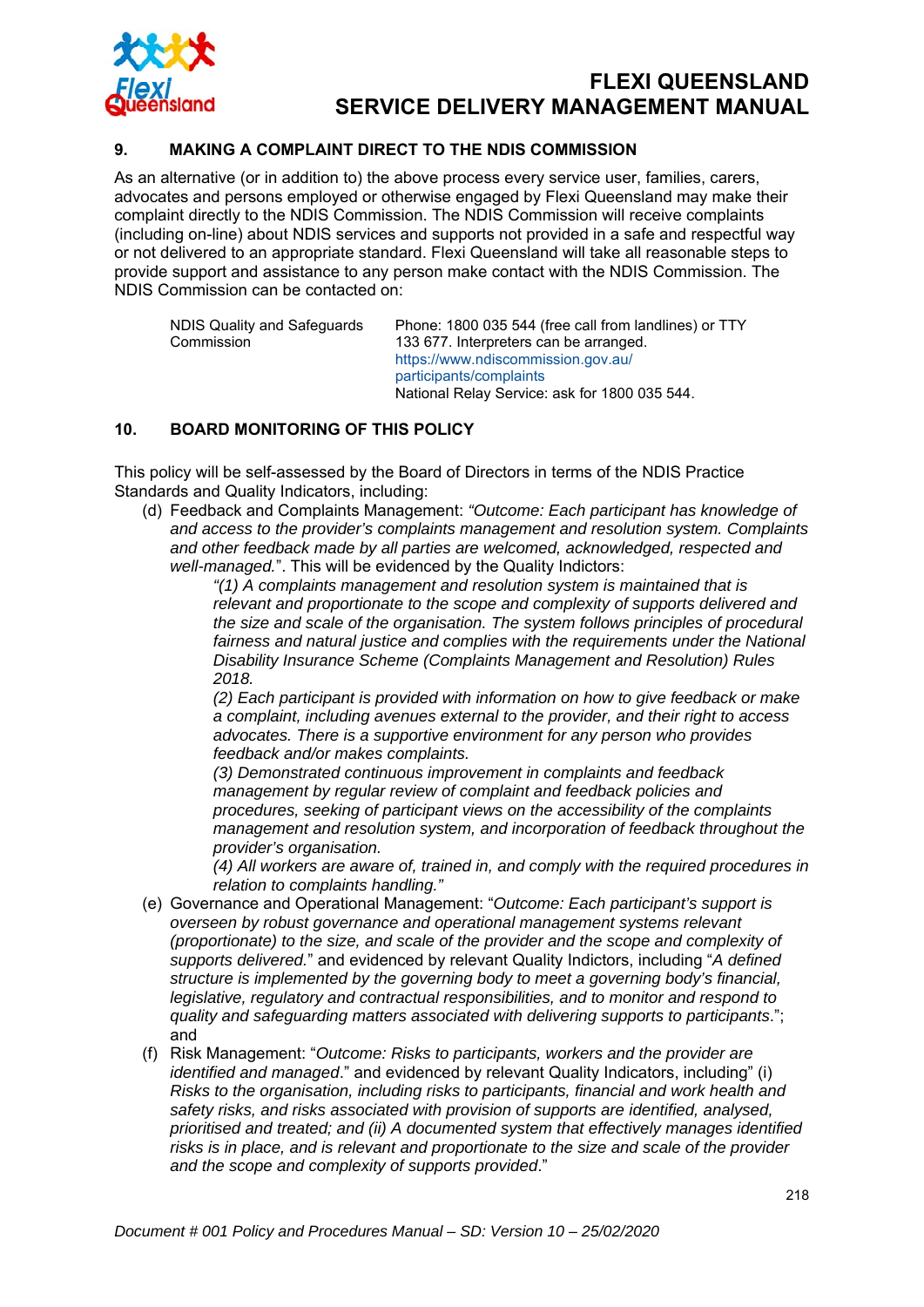

### **9. MAKING A COMPLAINT DIRECT TO THE NDIS COMMISSION**

As an alternative (or in addition to) the above process every service user, families, carers, advocates and persons employed or otherwise engaged by Flexi Queensland may make their complaint directly to the NDIS Commission. The NDIS Commission will receive complaints (including on-line) about NDIS services and supports not provided in a safe and respectful way or not delivered to an appropriate standard. Flexi Queensland will take all reasonable steps to provide support and assistance to any person make contact with the NDIS Commission. The NDIS Commission can be contacted on:

| NDIS Quality and Safeguards | Phone: 1800 035 544 (free call from landlines) or TTY |
|-----------------------------|-------------------------------------------------------|
| Commission                  | 133 677. Interpreters can be arranged.                |
|                             | https://www.ndiscommission.gov.au/                    |
|                             | participants/complaints                               |
|                             | National Relay Service: ask for 1800 035 544.         |

#### **10. BOARD MONITORING OF THIS POLICY**

This policy will be self-assessed by the Board of Directors in terms of the NDIS Practice Standards and Quality Indicators, including:

(d) Feedback and Complaints Management: *"Outcome: Each participant has knowledge of and access to the provider's complaints management and resolution system. Complaints and other feedback made by all parties are welcomed, acknowledged, respected and well-managed.*". This will be evidenced by the Quality Indictors:

*"(1) A complaints management and resolution system is maintained that is relevant and proportionate to the scope and complexity of supports delivered and the size and scale of the organisation. The system follows principles of procedural*  fairness and natural justice and complies with the requirements under the National *Disability Insurance Scheme (Complaints Management and Resolution) Rules 2018.* 

*(2) Each participant is provided with information on how to give feedback or make a complaint, including avenues external to the provider, and their right to access advocates. There is a supportive environment for any person who provides feedback and/or makes complaints.* 

*(3) Demonstrated continuous improvement in complaints and feedback management by regular review of complaint and feedback policies and procedures, seeking of participant views on the accessibility of the complaints management and resolution system, and incorporation of feedback throughout the provider's organisation.* 

*(4) All workers are aware of, trained in, and comply with the required procedures in relation to complaints handling."* 

- (e) Governance and Operational Management: "*Outcome: Each participant's support is overseen by robust governance and operational management systems relevant (proportionate) to the size, and scale of the provider and the scope and complexity of supports delivered.*" and evidenced by relevant Quality Indictors, including "*A defined structure is implemented by the governing body to meet a governing body's financial, legislative, regulatory and contractual responsibilities, and to monitor and respond to quality and safeguarding matters associated with delivering supports to participants*."; and
- (f) Risk Management: "*Outcome: Risks to participants, workers and the provider are identified and managed*." and evidenced by relevant Quality Indicators, including" (i) *Risks to the organisation, including risks to participants, financial and work health and safety risks, and risks associated with provision of supports are identified, analysed, prioritised and treated; and (ii) A documented system that effectively manages identified risks is in place, and is relevant and proportionate to the size and scale of the provider and the scope and complexity of supports provided*."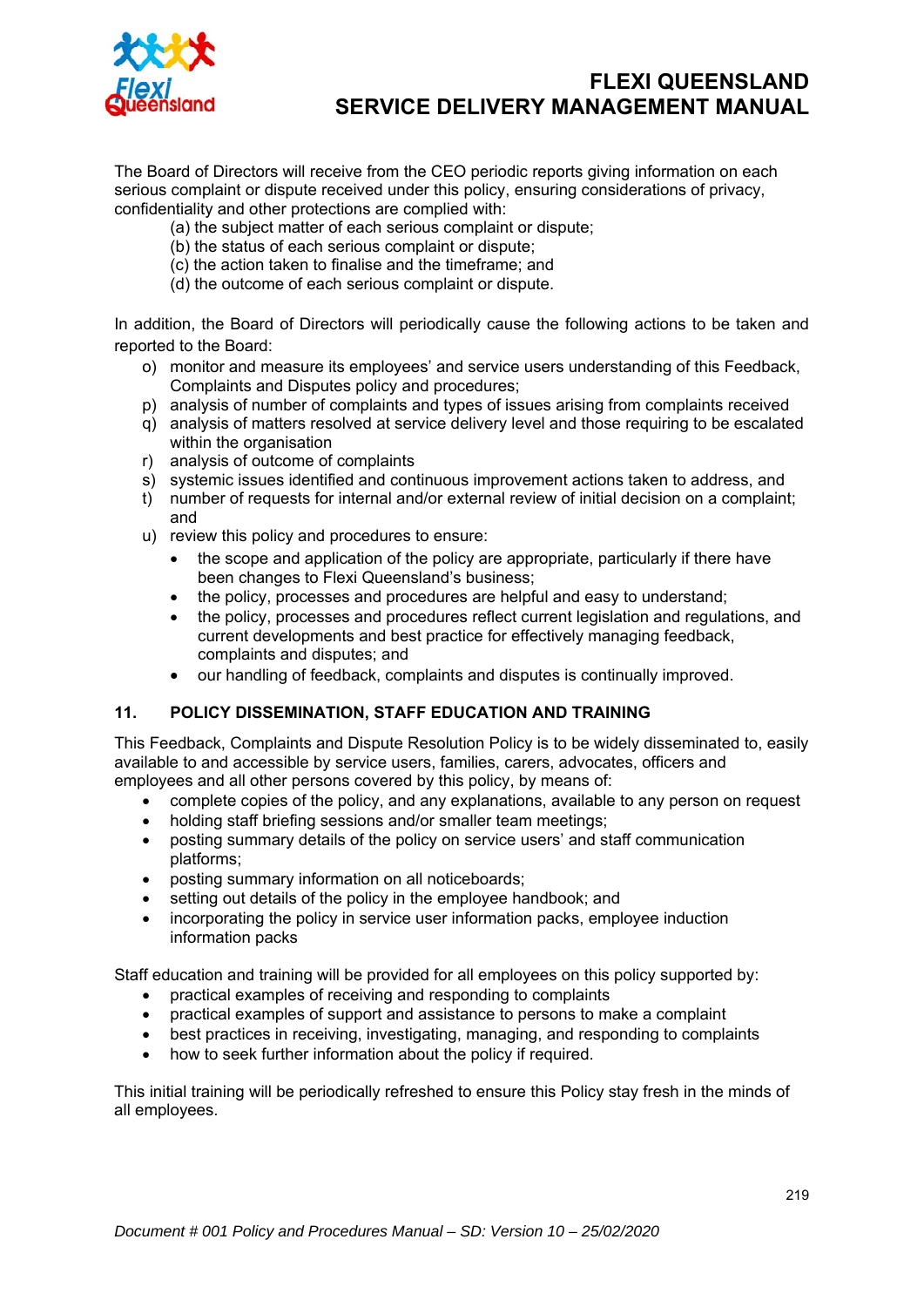

The Board of Directors will receive from the CEO periodic reports giving information on each serious complaint or dispute received under this policy, ensuring considerations of privacy, confidentiality and other protections are complied with:

- (a) the subject matter of each serious complaint or dispute;
- (b) the status of each serious complaint or dispute;
- (c) the action taken to finalise and the timeframe; and
- (d) the outcome of each serious complaint or dispute.

In addition, the Board of Directors will periodically cause the following actions to be taken and reported to the Board:

- o) monitor and measure its employees' and service users understanding of this Feedback, Complaints and Disputes policy and procedures;
- p) analysis of number of complaints and types of issues arising from complaints received
- q) analysis of matters resolved at service delivery level and those requiring to be escalated within the organisation
- r) analysis of outcome of complaints
- s) systemic issues identified and continuous improvement actions taken to address, and
- t) number of requests for internal and/or external review of initial decision on a complaint; and
- u) review this policy and procedures to ensure:
	- the scope and application of the policy are appropriate, particularly if there have been changes to Flexi Queensland's business;
	- the policy, processes and procedures are helpful and easy to understand;
	- the policy, processes and procedures reflect current legislation and regulations, and current developments and best practice for effectively managing feedback, complaints and disputes; and
	- our handling of feedback, complaints and disputes is continually improved.

### **11. POLICY DISSEMINATION, STAFF EDUCATION AND TRAINING**

This Feedback, Complaints and Dispute Resolution Policy is to be widely disseminated to, easily available to and accessible by service users, families, carers, advocates, officers and employees and all other persons covered by this policy, by means of:

- complete copies of the policy, and any explanations, available to any person on request
- holding staff briefing sessions and/or smaller team meetings;
- posting summary details of the policy on service users' and staff communication platforms;
- posting summary information on all noticeboards;
- setting out details of the policy in the employee handbook; and
- incorporating the policy in service user information packs, employee induction information packs

Staff education and training will be provided for all employees on this policy supported by:

- practical examples of receiving and responding to complaints
- practical examples of support and assistance to persons to make a complaint
- best practices in receiving, investigating, managing, and responding to complaints
- how to seek further information about the policy if required.

This initial training will be periodically refreshed to ensure this Policy stay fresh in the minds of all employees.